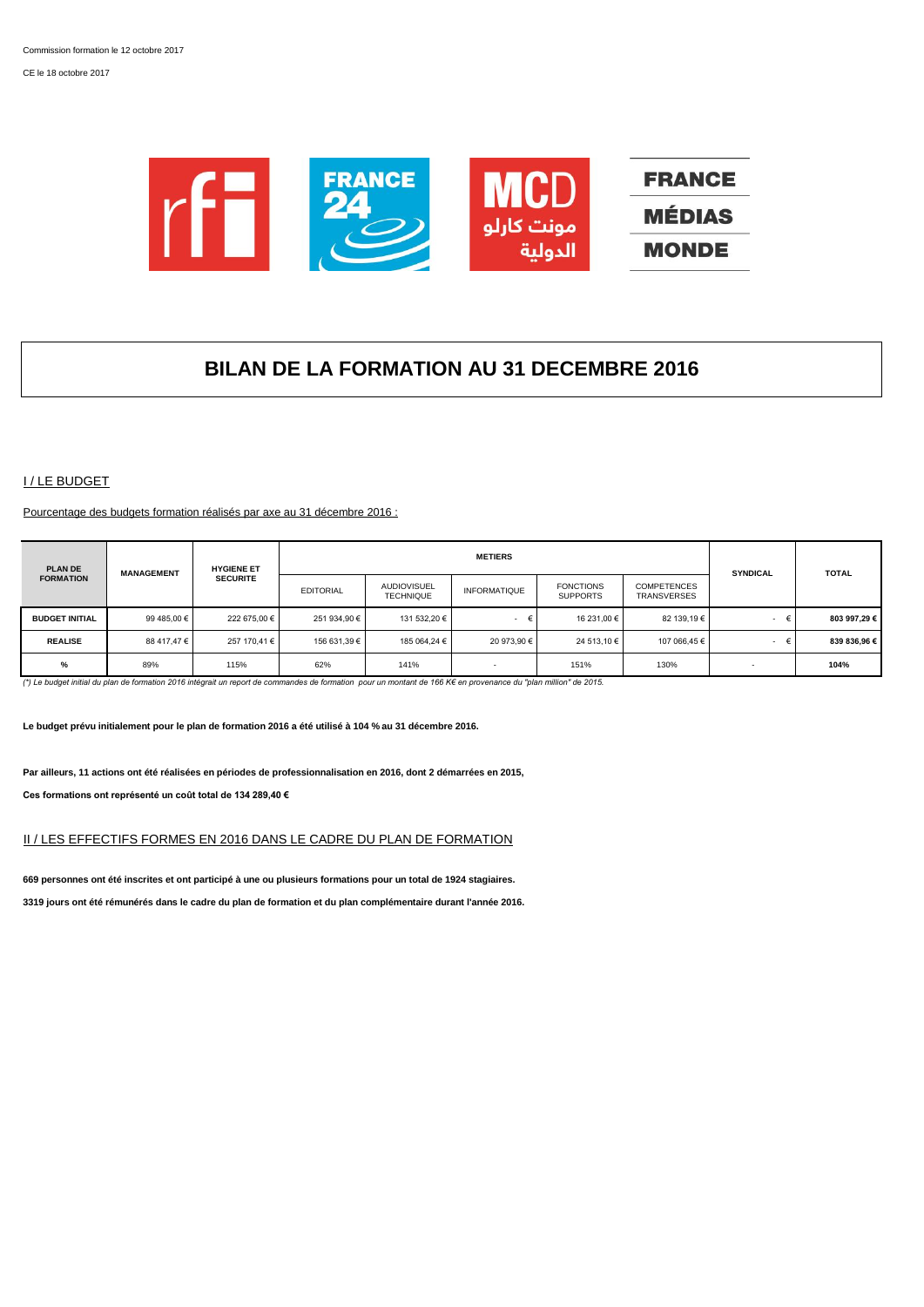CE le 18 octobre 2017



# **BILAN DE LA FORMATION AU 31 DECEMBRE 2016**

# I / LE BUDGET

Pourcentage des budgets formation réalisés par axe au 31 décembre 2016 :

| <b>PLAN DE</b>        | <b>MANAGEMENT</b> | <b>HYGIENE ET</b> |                  |                                        | <b>METIERS</b>      |                                     |                                          | <b>SYNDICAL</b>          | <b>TOTAL</b> |
|-----------------------|-------------------|-------------------|------------------|----------------------------------------|---------------------|-------------------------------------|------------------------------------------|--------------------------|--------------|
| <b>FORMATION</b>      |                   | <b>SECURITE</b>   | <b>EDITORIAL</b> | <b>AUDIOVISUEL</b><br><b>TECHNIQUE</b> | <b>INFORMATIQUE</b> | <b>FONCTIONS</b><br><b>SUPPORTS</b> | <b>COMPETENCES</b><br><b>TRANSVERSES</b> |                          |              |
| <b>BUDGET INITIAL</b> | 99 485.00 €       | 222 675.00 €      | 251 934,90 €     | 131 532.20 €                           | $\sim$              | 16 231,00 €                         | 82 139.19 €                              | €<br>$\sim$              | 803 997.29 € |
| <b>REALISE</b>        | 88 417.47 €       | 257 170.41 €      | 156 631.39 €     | 185 064.24 €                           | 20 973.90 €         | 24 513.10 €                         | 107 066.45 €                             |                          | 839 836.96 € |
| %                     | 89%               | 115%              | 62%              | 141%                                   |                     | 151%                                | 130%                                     | $\overline{\phantom{a}}$ | 104%         |

*(\*) Le budget initial du plan de formation 2016 intégrait un report de commandes de formation pour un montant de 166 K€ en provenance du "plan million" de 2015.*

**Le budget prévu initialement pour le plan de formation 2016 a été utilisé à 104 % au 31 décembre 2016.**

**Par ailleurs, 11 actions ont été réalisées en périodes de professionnalisation en 2016, dont 2 démarrées en 2015, Ces formations ont représenté un coût total de 134 289,40 €**

# II / LES EFFECTIFS FORMES EN 2016 DANS LE CADRE DU PLAN DE FORMATION

**669 personnes ont été inscrites et ont participé à une ou plusieurs formations pour un total de 1924 stagiaires. 3319 jours ont été rémunérés dans le cadre du plan de formation et du plan complémentaire durant l'année 2016.**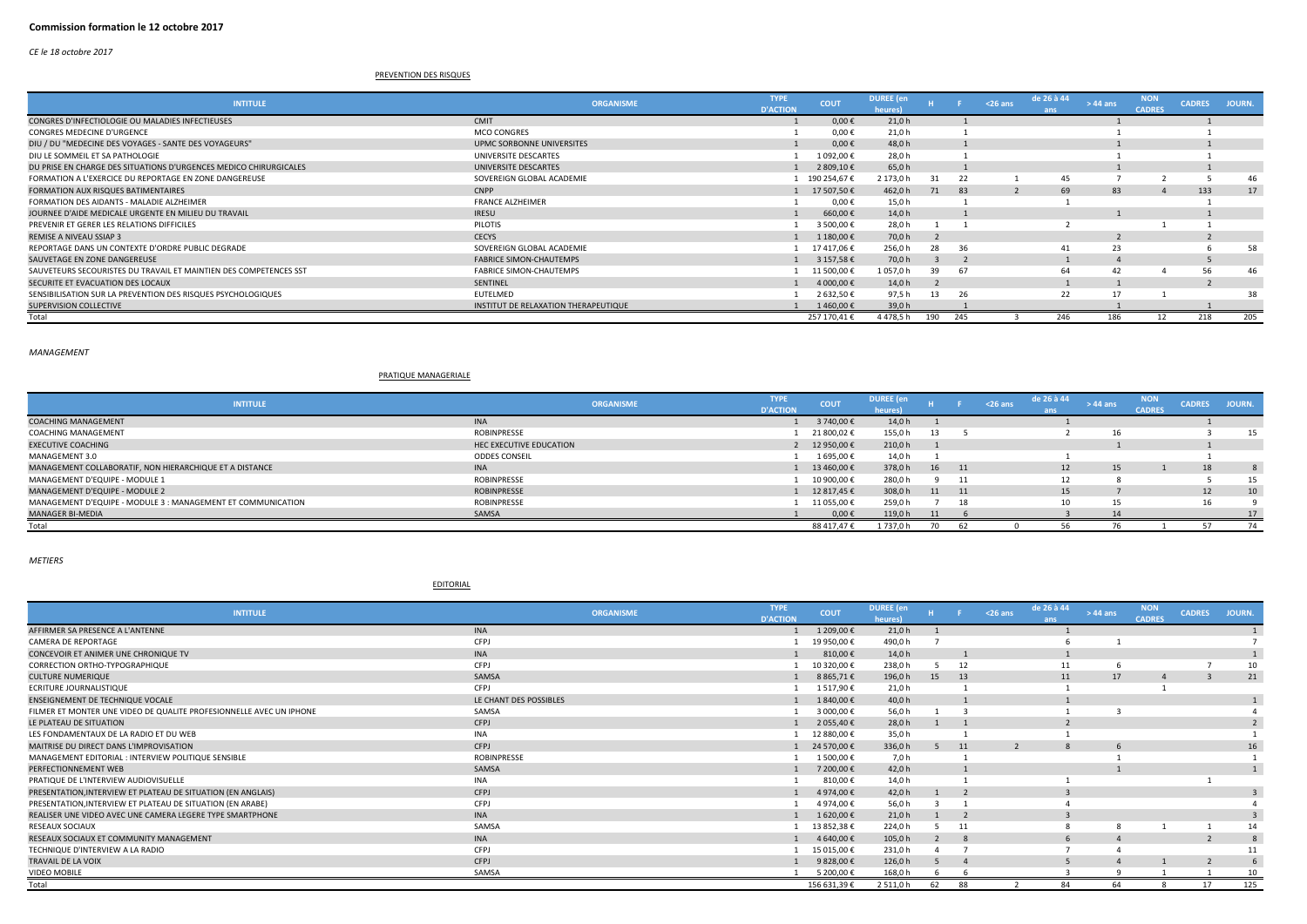*CE le 18 octobre 2017*

## PREVENTION DES RISQUES

| <b>INTITULE</b>                                                   | <b>ORGANISME</b>                     | <b>TYPE</b><br><b>D'ACTION</b> | <b>COUT</b>  | <b>DUREE</b> (en<br>heures) |     |     | $26$ ans | de 26 à 44<br>ans | $>44$ ans | <b>NON</b><br><b>CADRES</b> | <b>CADRES</b> | JOURN. |
|-------------------------------------------------------------------|--------------------------------------|--------------------------------|--------------|-----------------------------|-----|-----|----------|-------------------|-----------|-----------------------------|---------------|--------|
| CONGRES D'INFECTIOLOGIE OU MALADIES INFECTIEUSES                  | <b>CMIT</b>                          |                                | $0,00 \in$   | 21,0 h                      |     |     |          |                   |           |                             |               |        |
| <b>CONGRES MEDECINE D'URGENCE</b>                                 | <b>MCO CONGRES</b>                   |                                | $0,00 \in$   | 21,0h                       |     |     |          |                   |           |                             |               |        |
| DIU / DU "MEDECINE DES VOYAGES - SANTE DES VOYAGEURS"             | UPMC SORBONNE UNIVERSITES            |                                | $0.00 \in$   | 48,0h                       |     |     |          |                   |           |                             |               |        |
| DIU LE SOMMEIL ET SA PATHOLOGIE                                   | UNIVERSITE DESCARTES                 |                                | 1 092,00 €   | 28.0 h                      |     |     |          |                   |           |                             |               |        |
| DU PRISE EN CHARGE DES SITUATIONS D'URGENCES MEDICO CHIRURGICALES | UNIVERSITE DESCARTES                 |                                | 2 809,10 €   | 65,0h                       |     |     |          |                   |           |                             |               |        |
| FORMATION A L'EXERCICE DU REPORTAGE EN ZONE DANGEREUSE            | SOVEREIGN GLOBAL ACADEMIE            |                                | 190 254,67 € | 2 173,0 h                   | 31  | 22  |          | 45                |           |                             |               | 46     |
| FORMATION AUX RISQUES BATIMENTAIRES                               | <b>CNPP</b>                          |                                | 17 507,50 €  | 462,0h                      | 71  | 83  |          | 69                | 83        |                             | 133           | 17     |
| FORMATION DES AIDANTS - MALADIE ALZHEIMER                         | <b>FRANCE ALZHEIMER</b>              |                                | $0,00 \in$   | 15,0h                       |     |     |          |                   |           |                             |               |        |
| JOURNEE D'AIDE MEDICALE URGENTE EN MILIEU DU TRAVAIL              | <b>IRESU</b>                         |                                | 660,00 €     | 14,0 h                      |     |     |          |                   |           |                             |               |        |
| PREVENIR ET GERER LES RELATIONS DIFFICILES                        | PILOTIS                              |                                | 3 500,00 €   | 28,0h                       |     |     |          |                   |           |                             |               |        |
| <b>REMISE A NIVEAU SSIAP 3</b>                                    | <b>CECYS</b>                         |                                | 1 180,00 €   | 70.0 h                      |     |     |          |                   |           |                             |               |        |
| REPORTAGE DANS UN CONTEXTE D'ORDRE PUBLIC DEGRADE                 | SOVEREIGN GLOBAL ACADEMIE            |                                | 17417,06€    | 256,0 h                     | 28  | -36 |          |                   | 23        |                             |               | 58     |
| SAUVETAGE EN ZONE DANGEREUSE                                      | <b>FABRICE SIMON-CHAUTEMPS</b>       |                                | 3 157,58 €   | 70,0 h                      |     |     |          |                   | $\Delta$  |                             |               |        |
| SAUVETEURS SECOURISTES DU TRAVAIL ET MAINTIEN DES COMPETENCES SST | FABRICE SIMON-CHAUTEMPS              |                                | 11 500,00 €  | 1 057,0 h                   | 39  | -67 |          | 64                | 42        |                             | 56            | -46    |
| SECURITE ET EVACUATION DES LOCAUX                                 | <b>SENTINEL</b>                      |                                | 4 000,00 €   | 14,0 h                      |     |     |          |                   |           |                             |               |        |
| SENSIBILISATION SUR LA PREVENTION DES RISQUES PSYCHOLOGIQUES      | EUTELMED                             |                                | 2 632,50 €   | 97,5h                       | -13 | -26 |          |                   |           |                             |               | 38     |
| <b>SUPERVISION COLLECTIVE</b>                                     | INSTITUT DE RELAXATION THERAPEUTIQUE |                                | 1460,00€     | 39.0 h                      |     |     |          |                   |           |                             |               |        |
| Total                                                             |                                      |                                | 257 170,41 € | 4 478,5 h                   | 190 | 245 |          | 246               | 186       |                             | 218           | 205    |

*MANAGEMENT*

#### PRATIQUE MANAGERIALE

| <b>INTITULE</b>                                              | <b>ORGANISME</b>        | <b>TYPE</b>     | <b>COUT</b> | <b>DUREE</b> (en |       |      | $<$ 26 ans | de 26 à 44 | $> 44$ ans | NON.          | <b>CADRES</b> | JOURN. |
|--------------------------------------------------------------|-------------------------|-----------------|-------------|------------------|-------|------|------------|------------|------------|---------------|---------------|--------|
|                                                              |                         | <b>D'ACTION</b> |             | heures           |       |      |            |            |            | <b>CADRES</b> |               |        |
| <b>COACHING MANAGEMENT</b>                                   | <b>INA</b>              |                 | 3 740,00 €  | 14,0 h           |       |      |            |            |            |               |               |        |
| COACHING MANAGEMENT                                          | ROBINPRESSE             |                 | 21 800,02 € | 155,0 h          | 13    |      |            |            | 16         |               |               | 15     |
| <b>EXECUTIVE COACHING</b>                                    | HEC EXECUTIVE EDUCATION |                 | 12 950,00 € | 210,0h           |       |      |            |            |            |               |               |        |
| MANAGEMENT 3.0                                               | <b>ODDES CONSEIL</b>    |                 | 1695,00€    | 14,0 h           |       |      |            |            |            |               |               |        |
| MANAGEMENT COLLABORATIF, NON HIERARCHIQUE ET A DISTANCE      | <b>INA</b>              |                 | 13 460.00 € | 378,0h           | 16 11 |      |            | 12         | 15         |               | 18            |        |
| MANAGEMENT D'EQUIPE - MODULE 1                               | <b>ROBINPRESSE</b>      |                 | 10 900,00 € | 280,0h           |       |      |            |            |            |               |               | 15     |
| MANAGEMENT D'EQUIPE - MODULE 2                               | ROBINPRESSE             |                 | 12 817,45 € | 308,0 h          | 11    | - 11 |            | 15         |            |               | 12            | 10     |
| MANAGEMENT D'EQUIPE - MODULE 3 : MANAGEMENT ET COMMUNICATION | <b>ROBINPRESSE</b>      |                 | 11 055,00€  | 259,0h           |       |      |            |            | 15         |               | 16            |        |
| MANAGER BI-MEDIA                                             | SAMSA                   |                 | $0.00 \in$  | 119.0 h          | 11    |      |            |            |            |               |               | 17     |
| Total                                                        |                         |                 | 88 417,47 € | L 737.0 h        |       |      |            |            |            |               |               | 74     |

*METIERS*

#### EDITORIAL

| <b>INTITULE</b>                                                     | <b>ORGANISME</b>       | <b>TYPE</b>     | <b>COUT</b>  | <b>DUREE</b> (en |    |    | $<$ 26 ans | de 26 à 44 | $>44$ ans | <b>NON</b>    | <b>CADRES</b> | JOURN. |
|---------------------------------------------------------------------|------------------------|-----------------|--------------|------------------|----|----|------------|------------|-----------|---------------|---------------|--------|
|                                                                     |                        | <b>D'ACTION</b> |              | heures)          |    |    |            | ans        |           | <b>CADRES</b> |               |        |
| AFFIRMER SA PRESENCE A L'ANTENNE                                    | <b>INA</b>             |                 | 1 209,00 €   | 21,0 h           |    |    |            |            |           |               |               |        |
| <b>CAMERA DE REPORTAGE</b>                                          | CFPJ                   |                 | 19 950,00 €  | 490,0h           |    |    |            |            |           |               |               |        |
| CONCEVOIR ET ANIMER UNE CHRONIQUE TV                                | <b>INA</b>             |                 | 810,00€      | 14,0 h           |    |    |            |            |           |               |               |        |
| CORRECTION ORTHO-TYPOGRAPHIQUE                                      | CFPJ                   |                 | 10 320,00 €  | 238,0h           |    | 12 |            |            |           |               |               | 10     |
| <b>CULTURE NUMERIQUE</b>                                            | SAMSA                  |                 | 8 8 6 5,71 € | 196,0h           | 15 | 13 |            | 11         | 17        |               |               | 21     |
| <b>ECRITURE JOURNALISTIQUE</b>                                      | CFPJ                   |                 | 1517,90€     | 21,0h            |    |    |            |            |           |               |               |        |
| <b>ENSEIGNEMENT DE TECHNIQUE VOCALE</b>                             | LE CHANT DES POSSIBLES |                 | 1 840,00 €   | 40,0 h           |    |    |            |            |           |               |               |        |
| FILMER ET MONTER UNE VIDEO DE QUALITE PROFESIONNELLE AVEC UN IPHONE | SAMSA                  |                 | 3 000,00 €   | 56,0h            |    |    |            |            |           |               |               |        |
| LE PLATEAU DE SITUATION                                             | CFPJ                   |                 | 2 055,40 €   | 28,0 h           |    |    |            |            |           |               |               |        |
| LES FONDAMENTAUX DE LA RADIO ET DU WEB                              | <b>INA</b>             |                 | 12 880,00 €  | 35,0h            |    |    |            |            |           |               |               |        |
| MAITRISE DU DIRECT DANS L'IMPROVISATION                             | CFPJ                   |                 | 24 570,00 €  | 336,0h           | -5 | 11 |            |            | 6         |               |               | 16     |
| MANAGEMENT EDITORIAL : INTERVIEW POLITIQUE SENSIBLE                 | ROBINPRESSE            |                 | 1500,00€     | 7,0 h            |    |    |            |            |           |               |               |        |
| PERFECTIONNEMENT WEB                                                | SAMSA                  |                 | 7 200,00 €   | 42,0 h           |    |    |            |            |           |               |               |        |
| PRATIQUE DE L'INTERVIEW AUDIOVISUELLE                               | <b>INA</b>             |                 | 810,00€      | 14,0 h           |    |    |            |            |           |               |               |        |
| PRESENTATION, INTERVIEW ET PLATEAU DE SITUATION (EN ANGLAIS)        | CFPJ                   |                 | 4 974,00 €   | 42,0 h           |    |    |            |            |           |               |               |        |
| PRESENTATION, INTERVIEW ET PLATEAU DE SITUATION (EN ARABE)          | CFPJ                   |                 | 4974,00€     | 56,0h            |    |    |            |            |           |               |               |        |
| REALISER UNE VIDEO AVEC UNE CAMERA LEGERE TYPE SMARTPHONE           | <b>INA</b>             |                 | 1 620,00 €   | 21,0 h           |    |    |            |            |           |               |               |        |
| <b>RESEAUX SOCIAUX</b>                                              | SAMSA                  |                 | 13 852,38 €  | 224,0 h          |    | 11 |            |            |           |               |               | 14     |
| RESEAUX SOCIAUX ET COMMUNITY MANAGEMENT                             | <b>INA</b>             |                 | 4 640,00 €   | 105,0h           |    |    |            |            |           |               |               |        |
| TECHNIQUE D'INTERVIEW A LA RADIO                                    | CFPJ                   |                 | 15 015,00 €  | 231,0h           |    |    |            |            |           |               |               | 11     |
| <b>TRAVAIL DE LA VOIX</b>                                           | CFPJ                   |                 | 9 828,00 €   | 126,0h           |    |    |            |            |           |               |               |        |
| VIDEO MOBILE                                                        | SAMSA                  |                 | 5 200,00 €   | 168,0h           |    |    |            |            |           |               |               | 10     |
| Total                                                               |                        |                 | 156 631,39€  | 2 511,0 h        | 62 | 88 |            | 84         | 64        |               | 17            | 125    |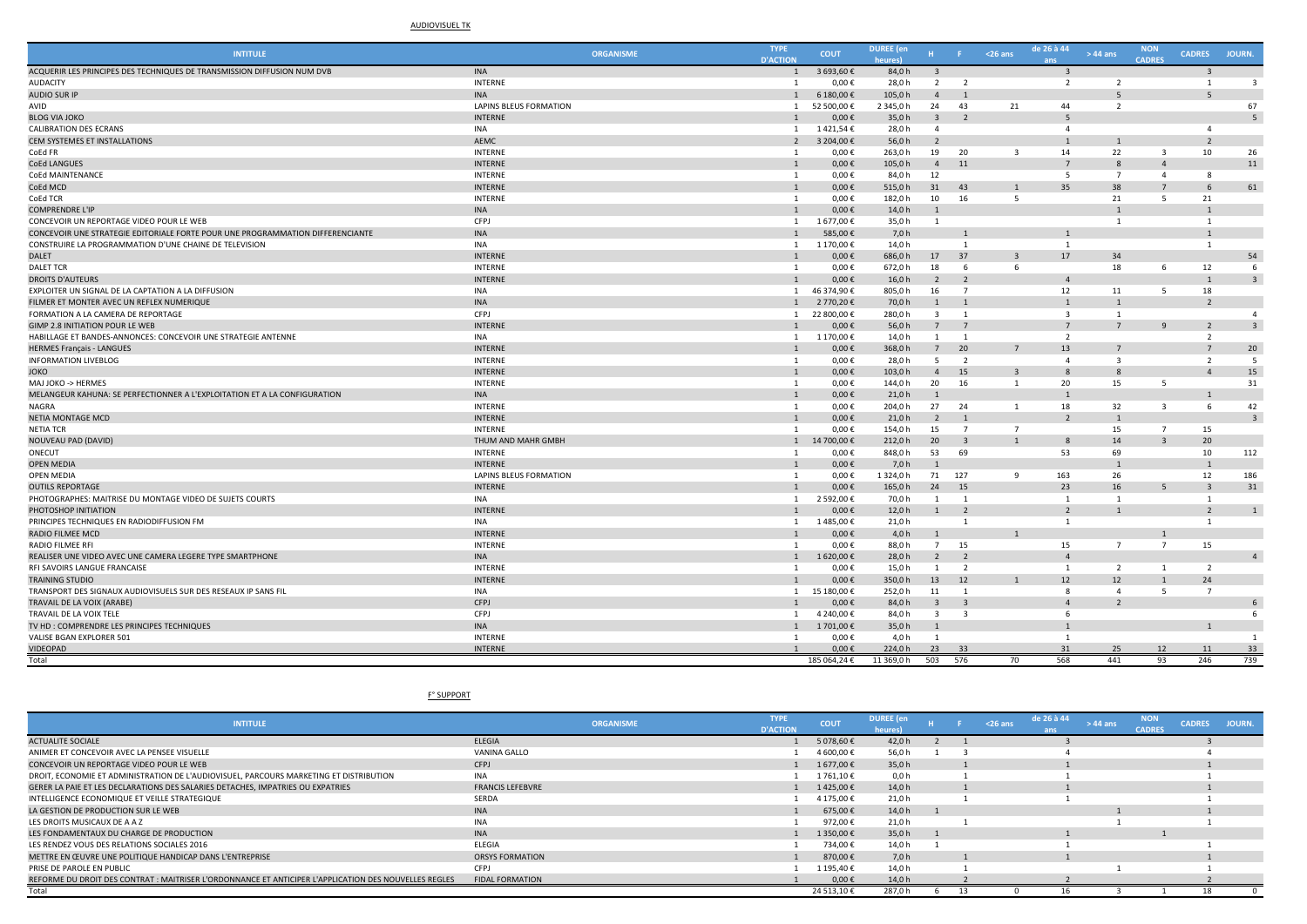## AUDIOVISUEL TK

| <b>INTITULE</b>                                                                | <b>ORGANISME</b>              | <b>TYPE</b><br><b>D'ACTION</b> | <b>COUT</b>  | <b>DUREE</b> (en<br>heures) |                         |                          | $26$ ans                | de 26 à 44               | $>44$ ans               | <b>NON</b><br><b>CADRES</b> | <b>CADRES</b>  | JOURN.                  |
|--------------------------------------------------------------------------------|-------------------------------|--------------------------------|--------------|-----------------------------|-------------------------|--------------------------|-------------------------|--------------------------|-------------------------|-----------------------------|----------------|-------------------------|
| ACQUERIR LES PRINCIPES DES TECHNIQUES DE TRANSMISSION DIFFUSION NUM DVB        | <b>INA</b>                    | $\overline{1}$                 | 3 693,60€    | 84,0h                       | $\overline{3}$          |                          |                         | $\mathbf{R}$             |                         |                             | $\overline{3}$ |                         |
| <b>AUDACITY</b>                                                                | <b>INTERNE</b>                | $\overline{1}$                 | 0,00€        | 28,0 h                      | 2                       | $\overline{2}$           |                         | $\overline{2}$           | $\overline{2}$          |                             | $\overline{1}$ | $\mathbf{3}$            |
| <b>AUDIO SUR IP</b>                                                            | <b>INA</b>                    | 1                              | 6 180,00€    | 105,0 h                     | $\Delta$                |                          |                         |                          | 5                       |                             | 5              |                         |
| AVID                                                                           | <b>LAPINS BLEUS FORMATION</b> | $\mathbf{1}$                   | 52 500,00 €  | 2 345,0 h                   | 24                      | 43                       | 21                      | 44                       | $\overline{2}$          |                             |                | 67                      |
| <b>BLOG VIA JOKO</b>                                                           | <b>INTERNE</b>                | $\overline{1}$                 | $0,00 \in$   | 35,0h                       | $\overline{\mathbf{3}}$ | $\overline{2}$           |                         | -5                       |                         |                             |                | 5                       |
| <b>CALIBRATION DES ECRANS</b>                                                  | <b>INA</b>                    | <sup>1</sup>                   | 1421,54€     | 28,0h                       | $\overline{a}$          |                          |                         | $\overline{a}$           |                         |                             | $\overline{4}$ |                         |
| CEM SYSTEMES ET INSTALLATIONS                                                  | AEMC                          | $\overline{2}$                 | 3 204,00 €   | 56,0h                       | $\overline{2}$          |                          |                         |                          | $\overline{1}$          |                             | $\overline{2}$ |                         |
| CoEd FR                                                                        | <b>INTERNE</b>                | $\overline{1}$                 | $0,00 \in$   | 263,0h                      | 19                      | 20                       | $\overline{\mathbf{3}}$ | 14                       | 22                      | $\overline{\mathbf{3}}$     | 10             | 26                      |
| <b>CoEd LANGUES</b>                                                            | <b>INTERNE</b>                | 1                              | $0,00 \in$   | 105,0h                      | $\overline{4}$          | 11                       |                         | $\overline{7}$           | 8                       | $\overline{4}$              |                | 11                      |
| CoEd MAINTENANCE                                                               | <b>INTERNE</b>                | $\overline{1}$                 | $0,00 \in$   | 84,0h                       | 12                      |                          |                         | -5                       | $\overline{7}$          | $\overline{a}$              | 8              |                         |
| CoEd MCD                                                                       | <b>INTERNE</b>                | $\overline{1}$                 | $0,00 \in$   | 515,0h                      | 31                      | 43                       | $\mathbf{1}$            | 35                       | 38                      | $\overline{7}$              | 6              | 61                      |
| CoEd TCR                                                                       | <b>INTERNE</b>                | 1                              | 0,00€        | 182,0h                      | 10                      | 16                       | 5                       |                          | 21                      | -5                          | 21             |                         |
| <b>COMPRENDRE L'IP</b>                                                         | <b>INA</b>                    | $\overline{1}$                 | $0,00 \in$   | 14,0 h                      | $\mathbf{1}$            |                          |                         |                          |                         |                             |                |                         |
| CONCEVOIR UN REPORTAGE VIDEO POUR LE WEB                                       | CFPJ                          | $\mathbf{1}$                   | 1677,00€     | 35,0h                       | $\overline{1}$          |                          |                         |                          | 1                       |                             | 1              |                         |
| CONCEVOIR UNE STRATEGIE EDITORIALE FORTE POUR UNE PROGRAMMATION DIFFERENCIANTE | <b>INA</b>                    | $\overline{1}$                 | 585,00€      | 7,0 h                       |                         |                          |                         | $\overline{1}$           |                         |                             |                |                         |
| CONSTRUIRE LA PROGRAMMATION D'UNE CHAINE DE TELEVISION                         | <b>INA</b>                    | $\mathbf{1}$                   | 1 170,00 €   | 14,0 h                      |                         | $\mathbf{1}$             |                         | $\overline{1}$           |                         |                             | $\overline{1}$ |                         |
| DALET                                                                          | <b>INTERNE</b>                | 1                              | $0,00 \in$   | 686,0h                      | 17                      | 37                       | $\overline{3}$          | 17                       | 34                      |                             |                | 54                      |
| <b>DALET TCR</b>                                                               | <b>INTERNE</b>                | $\overline{1}$                 | $0,00 \in$   | 672,0h                      | 18                      | -6                       | 6                       |                          | 18                      | 6                           | 12             | 6                       |
| <b>DROITS D'AUTEURS</b>                                                        | <b>INTERNE</b>                | 1                              | 0,00€        | 16,0 h                      | $\overline{2}$          | $\overline{2}$           |                         | $\overline{4}$           |                         |                             |                | $\mathbf{3}$            |
| EXPLOITER UN SIGNAL DE LA CAPTATION A LA DIFFUSION                             | <b>INA</b>                    | $\mathbf{1}$                   | 46 374,90 €  | 805,0h                      | 16                      | $\overline{7}$           |                         | 12                       | 11                      | 5                           | 18             |                         |
| FILMER ET MONTER AVEC UN REFLEX NUMERIQUE                                      | <b>INA</b>                    | 1                              | 2 770,20€    | 70,0h                       | $\mathbf{1}$            |                          |                         |                          | $\mathbf{1}$            |                             | $\overline{2}$ |                         |
| FORMATION A LA CAMERA DE REPORTAGE                                             | CFPJ                          | 1                              | 22 800,00 €  | 280,0h                      | $\overline{\mathbf{3}}$ | $\mathbf{1}$             |                         | $\overline{\mathbf{3}}$  | $\mathbf{1}$            |                             |                | $\overline{a}$          |
| <b>GIMP 2.8 INITIATION POUR LE WEB</b>                                         | <b>INTERNI</b>                | $\overline{1}$                 | $0,00 \in$   | 56,0h                       | $\overline{7}$          | $\overline{7}$           |                         | $\overline{7}$           | $\overline{7}$          | $\mathbf{q}$                | $\overline{2}$ | $\overline{\mathbf{z}}$ |
| HABILLAGE ET BANDES-ANNONCES: CONCEVOIR UNE STRATEGIE ANTENNE                  | <b>INA</b>                    |                                | 1 1170,00 €  | 14,0 h                      | $\mathbf{1}$            | $\overline{1}$           |                         | $\overline{2}$           |                         |                             | $\overline{2}$ |                         |
| <b>HERMES Français - LANGUES</b>                                               | <b>INTERNE</b>                | $\overline{1}$                 | $0,00 \in$   | 368,0h                      | $7\overline{ }$         | 20                       | $\overline{7}$          | 13                       | 7                       |                             | $\overline{7}$ | 20                      |
| <b>INFORMATION LIVEBLOG</b>                                                    | <b>INTERNE</b>                | $\overline{1}$                 | $0,00 \in$   | 28,0h                       | - 5                     | $\overline{2}$           |                         | $\Delta$                 | $\overline{\mathbf{3}}$ |                             | $\overline{2}$ | 5                       |
| <b>JOKO</b>                                                                    | <b>INTERNE</b>                | $\overline{1}$                 | $0,00 \in$   | 103,0h                      | $\overline{4}$          | 15                       | $\overline{3}$          | 8                        | $\mathbf{8}$            |                             | $\Delta$       | 15                      |
| MAJ JOKO -> HERMES                                                             | INTERNE                       | <sup>1</sup>                   | $0,00 \in$   | 144,0h                      | 20                      | 16                       | $\mathbf{1}$            | 20                       | 15                      | 5                           |                | 31                      |
| MELANGEUR KAHUNA: SE PERFECTIONNER A L'EXPLOITATION ET A LA CONFIGURATION      | <b>INA</b>                    | 1                              | $0,00 \in$   | 21,0 h                      | $\mathbf{1}$            |                          |                         |                          |                         |                             |                |                         |
| NAGRA                                                                          | <b>INTERNE</b>                | 1                              | $0,00 \in$   | 204,0 h                     | 27                      | 24                       | 1                       | 18                       | 32                      | $\overline{\mathbf{3}}$     | 6              | 42                      |
| NETIA MONTAGE MCD                                                              | <b>INTERNE</b>                | $\overline{1}$                 | $0,00 \in$   | 21,0 h                      | $\overline{2}$          | $\overline{1}$           |                         | $\overline{\phantom{a}}$ | $\overline{1}$          |                             |                | $\overline{a}$          |
| <b>NETIA TCR</b>                                                               | INTERNE                       | $\mathbf{1}$                   | $0,00 \in$   | 154,0 h                     | 15                      | $\overline{7}$           | $\overline{7}$          |                          | 15                      | $\overline{7}$              | 15             |                         |
| NOUVEAU PAD (DAVID)                                                            | THUM AND MAHR GMBH            | $\mathbf{1}$                   | 14 700,00 €  | 212,0h                      | 20                      | $\overline{3}$           | $\overline{1}$          | 8                        | 14                      | $\overline{3}$              | 20             |                         |
| ONECUT                                                                         | <b>INTERNE</b>                | $\overline{1}$                 | $0,00 \in$   | 848,0h                      | 53                      | 69                       |                         | 53                       | 69                      |                             | 10             | 112                     |
| <b>OPEN MEDIA</b>                                                              | <b>INTERNE</b>                | 1                              | $0,00 \in$   | 7,0 h                       | $\overline{1}$          |                          |                         |                          | $\mathbf{1}$            |                             | $\overline{1}$ |                         |
| OPEN MEDIA                                                                     | LAPINS BLEUS FORMATION        | <sup>1</sup>                   | $0,00 \in$   | 1 324,0 h                   | 71                      | 127                      | 9                       | 163                      | 26                      |                             | 12             | 186                     |
| <b>OUTILS REPORTAGE</b>                                                        | <b>INTERNE</b>                | 1                              | 0,00€        | 165,0h                      | 24                      | 15                       |                         | 23                       | 16                      | 5                           | $\overline{3}$ | 31                      |
| PHOTOGRAPHES: MAITRISE DU MONTAGE VIDEO DE SUJETS COURTS                       | <b>INA</b>                    | <sup>1</sup>                   | 2 592,00€    | 70,0h                       | 1                       | $\overline{\phantom{1}}$ |                         | $\overline{1}$           | 1                       |                             | 1              |                         |
| PHOTOSHOP INITIATION                                                           | <b>INTERNE</b>                | $\overline{1}$                 | $0,00 \in$   | 12,0 h                      | $\mathbf{1}$            | $\overline{\phantom{a}}$ |                         | $\overline{\phantom{a}}$ | $\overline{1}$          |                             | $\overline{2}$ |                         |
| PRINCIPES TECHNIQUES EN RADIODIFFUSION FM                                      | <b>INA</b>                    | $\mathbf{1}$                   | 1485,00€     | 21,0 h                      |                         | 1                        |                         | 1                        |                         |                             | 1              |                         |
| RADIO FILMEE MCD                                                               | <b>INTERNE</b>                | 1                              | $0,00 \in$   | 4,0 h                       | $\mathbf{1}$            |                          | $\mathbf{1}$            |                          |                         | $\mathbf{1}$                |                |                         |
| <b>RADIO FILMEE RFI</b>                                                        | <b>INTERNE</b>                | $\mathbf{1}$                   | $0,00 \in$   | 88,0h                       | 7                       | 15                       |                         | 15                       | $\overline{7}$          | $\overline{7}$              | 15             |                         |
| REALISER UNE VIDEO AVEC UNE CAMERA LEGERE TYPE SMARTPHONE                      | <b>INA</b>                    | 1                              | 1620,00€     | 28,0h                       | $\overline{2}$          | $\overline{2}$           |                         | $\Delta$                 |                         |                             |                | $\overline{a}$          |
| RFI SAVOIRS LANGUE FRANCAISE                                                   | <b>INTERNE</b>                | $\overline{1}$                 | $0,00 \in$   | 15,0h                       | $\mathbf{1}$            | $\overline{2}$           |                         | 1                        | $\overline{2}$          | $\overline{1}$              | $\overline{2}$ |                         |
| <b>TRAINING STUDIO</b>                                                         | <b>INTERNE</b>                | $\overline{1}$                 | 0,00€        | 350,0h                      | 13                      | 12                       | $\mathbf{1}$            | 12                       | 12                      |                             | 24             |                         |
| TRANSPORT DES SIGNAUX AUDIOVISUELS SUR DES RESEAUX IP SANS FII                 | <b>INA</b>                    | <sup>1</sup>                   | 15 180,00€   | 252,0h                      | 11                      | $\overline{1}$           |                         | -8                       | $\overline{a}$          | 5                           | $\overline{7}$ |                         |
| TRAVAIL DE LA VOIX (ARABE)                                                     | CFPJ                          | $\overline{1}$                 | 0,00€        | 84,0h                       | $\overline{3}$          | $\overline{3}$           |                         | $\Delta$                 | $\overline{2}$          |                             |                | 6                       |
| TRAVAIL DE LA VOIX TELE                                                        | CFPJ                          | $\mathbf{1}$                   | 4 240,00€    | 84,0h                       | $\overline{\mathbf{3}}$ | $\overline{3}$           |                         | -6                       |                         |                             |                | 6                       |
| TV HD: COMPRENDRE LES PRINCIPES TECHNIQUES                                     | <b>INA</b>                    | 1                              | 1701,00€     | 35,0h                       | $\mathbf{1}$            |                          |                         |                          |                         |                             |                |                         |
| VALISE BGAN EXPLORER 501                                                       | <b>INTERNE</b>                | $\overline{1}$                 | $0,00 \in$   | 4.0 h                       |                         |                          |                         |                          |                         |                             |                |                         |
| VIDEOPAD                                                                       | <b>INTERNE</b>                |                                | $0.00 \in$   | 224,0h                      | 23                      | 33                       |                         | 31                       | 25                      | 12                          | 11             | 33                      |
| Total                                                                          |                               |                                | 185 064.24 € | 11 369.0 h                  | 503                     | 576                      | 70                      | 568                      | 441                     | 93                          | 246            | 739                     |

F° SUPPORT

| <b>INTITULE</b>                                                                                       | <b>ORGANISME</b>        | <b>TYPE</b><br><b>D'ACTION</b> | <b>COUT</b> | <b>DUREE</b> (en<br><b>neures</b> i |  | $<$ 26 ans | de 26 à 44 | $>44$ ans | <b>NON</b><br><b>CADRES</b> | <b>CADRES</b> | JOURN. |
|-------------------------------------------------------------------------------------------------------|-------------------------|--------------------------------|-------------|-------------------------------------|--|------------|------------|-----------|-----------------------------|---------------|--------|
| <b>ACTUALITE SOCIALE</b>                                                                              | <b>ELEGIA</b>           |                                | 5 078,60 €  | 42.0 h                              |  |            |            |           |                             |               |        |
| ANIMER ET CONCEVOIR AVEC LA PENSEE VISUELLE                                                           | VANINA GALLO            |                                | 4 600,00 €  | 56,0h                               |  |            |            |           |                             |               |        |
| CONCEVOIR UN REPORTAGE VIDEO POUR LE WEB                                                              | CFPJ                    |                                | 1677,00€    | 35.0 h                              |  |            |            |           |                             |               |        |
| DROIT, ECONOMIE ET ADMINISTRATION DE L'AUDIOVISUEL, PARCOURS MARKETING ET DISTRIBUTION                | <b>INA</b>              |                                | 1761,10€    | 0,0 h                               |  |            |            |           |                             |               |        |
| GERER LA PAIE ET LES DECLARATIONS DES SALARIES DETACHES, IMPATRIES OU EXPATRIES                       | <b>FRANCIS LEFEBVRE</b> |                                | 1425,00€    | 14,0 h                              |  |            |            |           |                             |               |        |
| INTELLIGENCE ECONOMIQUE ET VEILLE STRATEGIQUE                                                         | SERDA                   |                                | 4 175,00 €  | 21,0 h                              |  |            |            |           |                             |               |        |
| LA GESTION DE PRODUCTION SUR LE WEB                                                                   | <b>INA</b>              |                                | 675,00€     | 14,0 h                              |  |            |            |           |                             |               |        |
| LES DROITS MUSICAUX DE A A Z                                                                          | <b>INA</b>              |                                | 972,00 €    | 21,0 h                              |  |            |            |           |                             |               |        |
| LES FONDAMENTAUX DU CHARGE DE PRODUCTION                                                              | <b>INA</b>              |                                | 1 350.00 €  | 35,0 h                              |  |            |            |           |                             |               |        |
| LES RENDEZ VOUS DES RELATIONS SOCIALES 2016                                                           | <b>ELEGIA</b>           |                                | 734.00€     | 14,0 h                              |  |            |            |           |                             |               |        |
| METTRE EN ŒUVRE UNE POLITIQUE HANDICAP DANS L'ENTREPRISE                                              | <b>ORSYS FORMATION</b>  |                                | 870,00€     | 7.0h                                |  |            |            |           |                             |               |        |
| PRISE DE PAROLE EN PUBLIC                                                                             | CFPJ                    |                                | 1 195,40 €  | 14.0 h                              |  |            |            |           |                             |               |        |
| REFORME DU DROIT DES CONTRAT : MAITRISER L'ORDONNANCE ET ANTICIPER L'APPLICATION DES NOUVELLES REGLES | <b>FIDAL FORMATION</b>  |                                | $0.00 \in$  | 14,0 h                              |  |            |            |           |                             |               |        |
| Total                                                                                                 |                         |                                | 24 513,10 € | 287,0h                              |  |            |            |           |                             |               |        |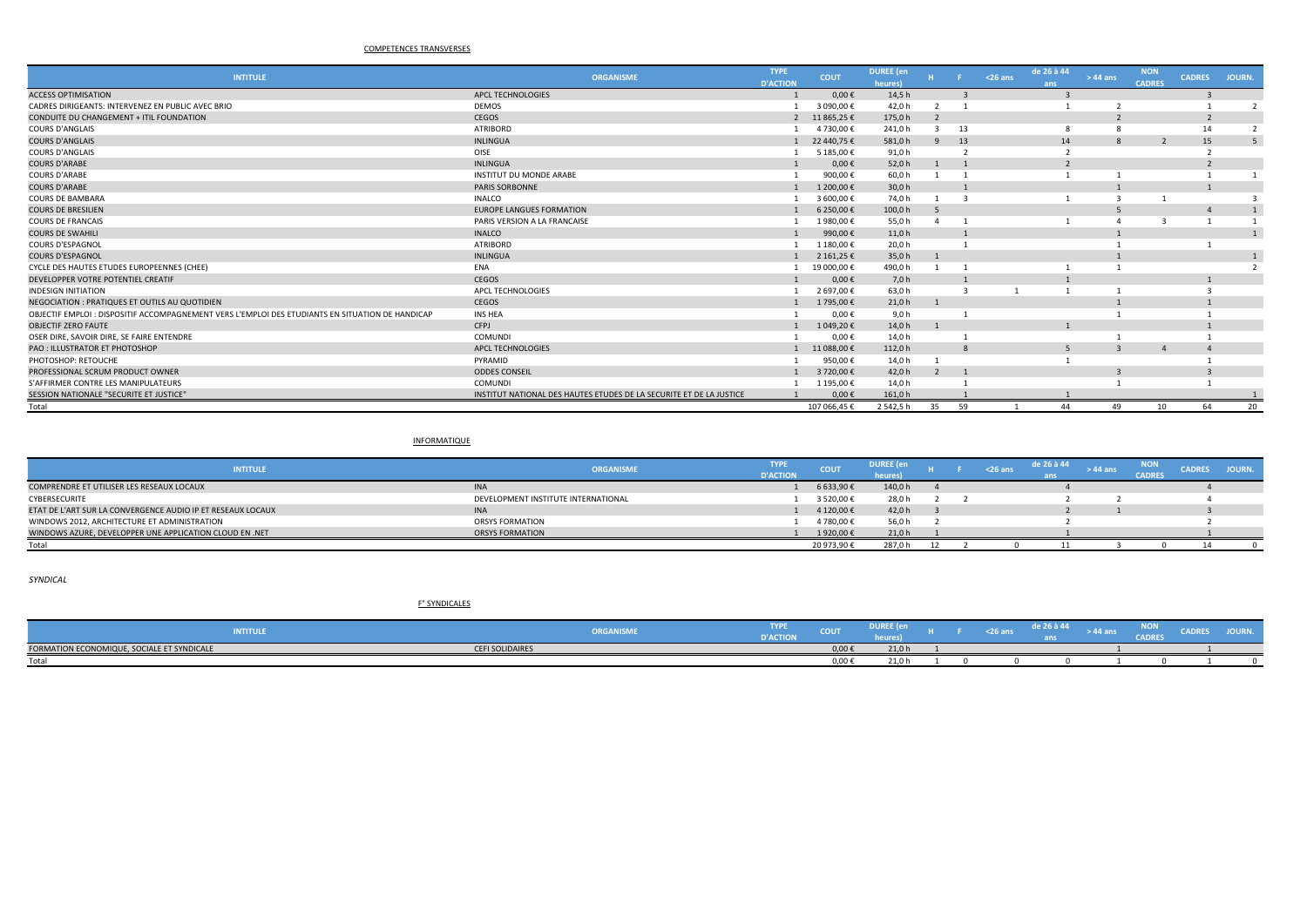## COMPETENCES TRANSVERSES

| <b>INTITULE</b>                                                                                  | <b>ORGANISME</b>                                                    | <b>TYPE</b>     | <b>COUT</b> | <b>DUREE</b> (en |                          |    | $26$ ans | de 26 à 44 | $>44$ ans      | <b>NON</b>    | <b>CADRES</b>  | JOURN. |
|--------------------------------------------------------------------------------------------------|---------------------------------------------------------------------|-----------------|-------------|------------------|--------------------------|----|----------|------------|----------------|---------------|----------------|--------|
|                                                                                                  |                                                                     | <b>D'ACTION</b> |             | heures)          |                          |    |          | ans        |                | <b>CADRES</b> |                |        |
| <b>ACCESS OPTIMISATION</b>                                                                       | APCL TECHNOLOGIES                                                   |                 | $0,00 \in$  | 14,5h            |                          |    |          |            |                |               |                |        |
| CADRES DIRIGEANTS: INTERVENEZ EN PUBLIC AVEC BRIO                                                | <b>DEMOS</b>                                                        |                 | 3 090.00€   | 42,0h            |                          |    |          |            |                |               |                |        |
| CONDUITE DU CHANGEMENT + ITIL FOUNDATION                                                         | CEGOS                                                               | $\overline{2}$  | 11 865,25 € | 175,0h           | $\overline{\phantom{a}}$ |    |          |            |                |               |                |        |
| <b>COURS D'ANGLAIS</b>                                                                           | <b>ATRIBORD</b>                                                     |                 | 4 730,00 €  | 241,0h           |                          | 13 |          |            |                |               | 14             |        |
| <b>COURS D'ANGLAIS</b>                                                                           | <b>INLINGUA</b>                                                     |                 | 22 440.75 € | 581,0h           | $\mathbf{q}$             | 13 |          | 14         | $\mathcal{R}$  |               | 15             |        |
| <b>COURS D'ANGLAIS</b>                                                                           | OISE                                                                |                 | 5 185,00€   | 91,0h            |                          |    |          |            |                |               |                |        |
| <b>COURS D'ARABE</b>                                                                             | <b>INLINGUA</b>                                                     |                 | $0,00 \in$  | 52,0 h           |                          |    |          |            |                |               | $\overline{2}$ |        |
| <b>COURS D'ARABE</b>                                                                             | <b>INSTITUT DU MONDE ARABE</b>                                      |                 | 900,00€     | 60,0h            |                          |    |          |            |                |               |                |        |
| <b>COURS D'ARABE</b>                                                                             | PARIS SORBONNE                                                      |                 | 1 200,00 €  | 30,0 h           |                          |    |          |            |                |               |                |        |
| <b>COURS DE BAMBARA</b>                                                                          | <b>INALCO</b>                                                       |                 | 3 600.00 €  | 74,0 h           |                          |    |          |            |                |               |                |        |
| <b>COURS DE BRESILIEN</b>                                                                        | <b>EUROPE LANGUES FORMATION</b>                                     |                 | 6 250,00€   | 100,0h           |                          |    |          |            |                |               |                |        |
| <b>COURS DE FRANCAIS</b>                                                                         | PARIS VERSION A LA FRANCAISE                                        |                 | 1980,00€    | 55,0h            |                          |    |          |            |                |               |                |        |
| <b>COURS DE SWAHILI</b>                                                                          | <b>INALCO</b>                                                       |                 | 990,00€     | 11,0 h           |                          |    |          |            |                |               |                |        |
| <b>COURS D'ESPAGNOL</b>                                                                          | <b>ATRIBORD</b>                                                     |                 | 1 180,00€   | 20,0h            |                          |    |          |            |                |               |                |        |
| <b>COURS D'ESPAGNOL</b>                                                                          | <b>INLINGUA</b>                                                     |                 | 2 161,25 €  | 35,0 h           |                          |    |          |            |                |               |                |        |
| CYCLE DES HAUTES ETUDES EUROPEENNES (CHEE)                                                       | ENA                                                                 |                 | 19 000,00€  | 490,0h           |                          |    |          |            |                |               |                |        |
| DEVELOPPER VOTRE POTENTIEL CREATIF                                                               | CEGOS                                                               |                 | $0,00 \in$  | 7,0 h            |                          |    |          |            |                |               |                |        |
| <b>INDESIGN INITIATION</b>                                                                       | APCL TECHNOLOGIES                                                   |                 | 2 697,00€   | 63,0h            |                          |    |          |            |                |               |                |        |
| NEGOCIATION: PRATIQUES ET OUTILS AU QUOTIDIEN                                                    | CEGOS                                                               |                 | 1 795.00€   | 21,0 h           |                          |    |          |            |                |               |                |        |
| OBJECTIF EMPLOI : DISPOSITIF ACCOMPAGNEMENT VERS L'EMPLOI DES ETUDIANTS EN SITUATION DE HANDICAP | <b>INS HEA</b>                                                      |                 | $0.00 \in$  | 9,0 h            |                          |    |          |            |                |               |                |        |
| <b>OBJECTIF ZERO FAUTE</b>                                                                       | CFPJ                                                                |                 | 1 049,20€   | 14,0 h           |                          |    |          |            |                |               |                |        |
| OSER DIRE, SAVOIR DIRE, SE FAIRE ENTENDRE                                                        | <b>COMUNDI</b>                                                      |                 | 0,00€       | 14,0 h           |                          |    |          |            |                |               |                |        |
| <b>PAO : ILLUSTRATOR ET PHOTOSHOP</b>                                                            | <b>APCL TECHNOLOGIES</b>                                            |                 | 11 088.00€  | 112,0 h          |                          |    |          |            |                |               |                |        |
| PHOTOSHOP: RETOUCHE                                                                              | PYRAMID                                                             |                 | 950,00€     | 14,0 h           |                          |    |          |            |                |               |                |        |
| PROFESSIONAL SCRUM PRODUCT OWNER                                                                 | <b>ODDES CONSEIL</b>                                                |                 | 3 720,00 €  | 42,0 h           | $\overline{2}$           |    |          |            | $\overline{3}$ |               |                |        |
| S'AFFIRMER CONTRE LES MANIPULATEURS                                                              | <b>COMUNDI</b>                                                      |                 | 1 195.00€   | 14,0 h           |                          |    |          |            |                |               |                |        |
| SESSION NATIONALE "SECURITE ET JUSTICE"                                                          | INSTITUT NATIONAL DES HAUTES ETUDES DE LA SECURITE ET DE LA JUSTICE |                 | $0.00 \in$  | 161.0 h          |                          |    |          |            |                |               |                |        |
| Total                                                                                            |                                                                     |                 | 107 066,45€ | 2 542,5 h        | 35                       | 59 |          | 44         | 49             | 10            | 64             | 20     |
|                                                                                                  |                                                                     |                 |             |                  |                          |    |          |            |                |               |                |        |

#### INFORMATIQUE

| <b>INTITULE</b>                                             | <b>ORGANISME</b>                    | <b>TYPE</b>     | <b>COUT</b> | <b>DUREE</b> (e |  | <26 ans | de 26 à 44 | > 44 an: | NON    | <b>CADRES</b> | JOURN. |
|-------------------------------------------------------------|-------------------------------------|-----------------|-------------|-----------------|--|---------|------------|----------|--------|---------------|--------|
|                                                             |                                     | <b>D'ACTION</b> |             |                 |  |         |            |          | CADRES |               |        |
| COMPRENDRE ET UTILISER LES RESEAUX LOCAUX                   | <b>INA</b>                          |                 | 6 633,90€   | 140,0 h         |  |         |            |          |        |               |        |
| CYBERSECURITE                                               | DEVELOPMENT INSTITUTE INTERNATIONAL |                 | 3 520,00 €  | 28,0h           |  |         |            |          |        |               |        |
| ETAT DE L'ART SUR LA CONVERGENCE AUDIO IP ET RESEAUX LOCAUX | <b>INA</b>                          |                 | 4 120,00 €  | 42,0 h          |  |         |            |          |        |               |        |
| WINDOWS 2012. ARCHITECTURE ET ADMINISTRATION                | <b>ORSYS FORMATION</b>              |                 | 4780.00€    | 56,0            |  |         |            |          |        |               |        |
| WINDOWS AZURE, DEVELOPPER UNE APPLICATION CLOUD EN .NET     | <b>ORSYS FORMATION</b>              |                 | 1920.00€    | 21,0 h          |  |         |            |          |        |               |        |
| Total                                                       |                                     |                 | 20 973,90 € | 287.0           |  |         |            |          |        |               |        |

*SYNDICAL*

#### F° SYNDICALES

| INTITULE                                   |                        | ___<br><b>ITPE</b><br><b>ORGANISME</b><br><b>NACTION</b><br>stelle<br>-- | <b>COLLEGE</b><br><b>COUT</b> | ------<br>ייייי |  | ___<br><b>SAN AND STATE</b> | .<br>e 26 à 44 | <b>AA AMA</b> | אטא<br>CADRES | ----- | $\sim$ |
|--------------------------------------------|------------------------|--------------------------------------------------------------------------|-------------------------------|-----------------|--|-----------------------------|----------------|---------------|---------------|-------|--------|
| FORMATION ECONOMIQUE, SOCIALE ET SYNDICALE | <b>CEFI SOLIDAIRES</b> |                                                                          | $0.00 \in$                    | 24.01<br>21.U   |  |                             |                |               |               |       |        |
| Total                                      |                        |                                                                          | 0,00€                         | .<br>21.U       |  |                             |                |               |               |       |        |
|                                            |                        |                                                                          |                               |                 |  |                             |                |               |               |       |        |